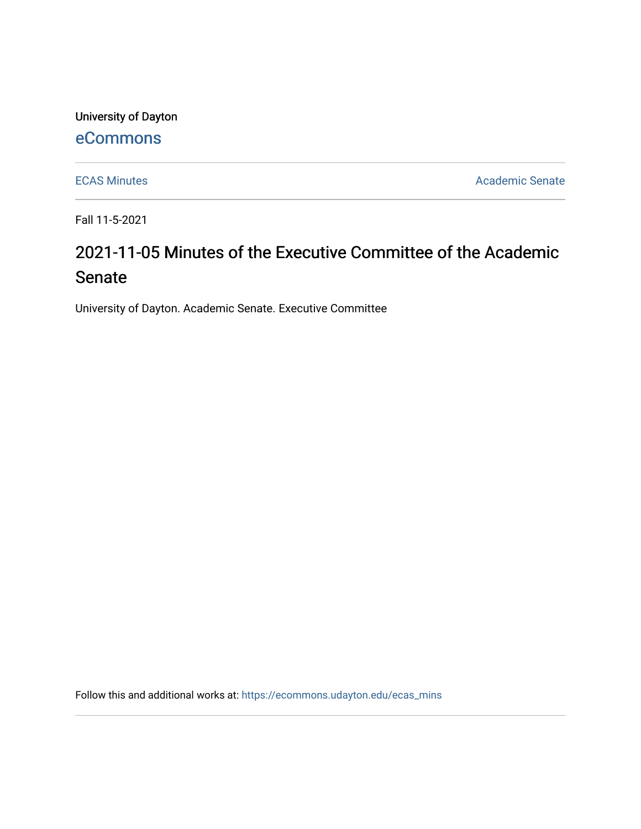University of Dayton

## [eCommons](https://ecommons.udayton.edu/)

[ECAS Minutes](https://ecommons.udayton.edu/ecas_mins) **Academic Senate** 

Fall 11-5-2021

# 2021-11-05 Minutes of the Executive Committee of the Academic Senate

University of Dayton. Academic Senate. Executive Committee

Follow this and additional works at: [https://ecommons.udayton.edu/ecas\\_mins](https://ecommons.udayton.edu/ecas_mins?utm_source=ecommons.udayton.edu%2Fecas_mins%2F550&utm_medium=PDF&utm_campaign=PDFCoverPages)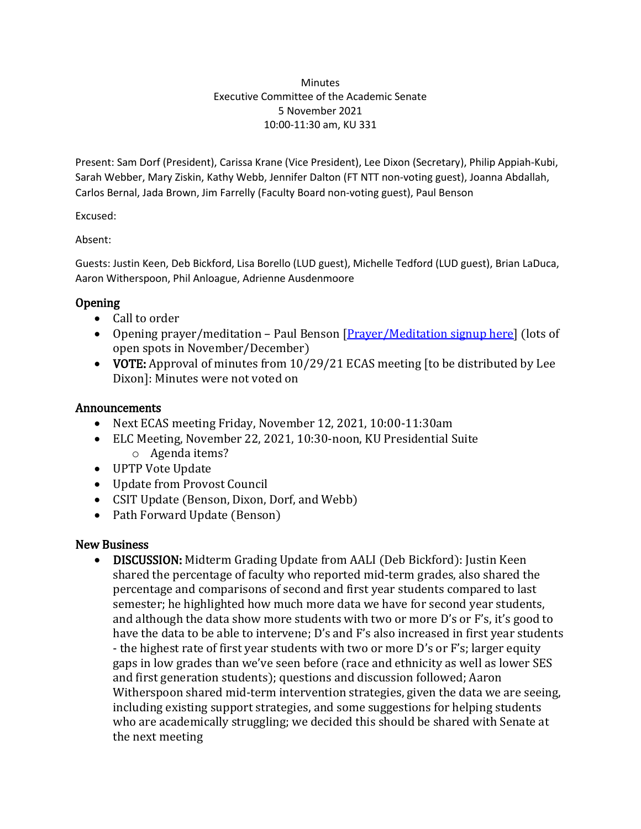#### **Minutes** Executive Committee of the Academic Senate 5 November 2021 10:00-11:30 am, KU 331

Present: Sam Dorf (President), Carissa Krane (Vice President), Lee Dixon (Secretary), Philip Appiah-Kubi, Sarah Webber, Mary Ziskin, Kathy Webb, Jennifer Dalton (FT NTT non-voting guest), Joanna Abdallah, Carlos Bernal, Jada Brown, Jim Farrelly (Faculty Board non-voting guest), Paul Benson

Excused:

Absent:

Guests: Justin Keen, Deb Bickford, Lisa Borello (LUD guest), Michelle Tedford (LUD guest), Brian LaDuca, Aaron Witherspoon, Phil Anloague, Adrienne Ausdenmoore

#### Opening

- Call to order
- Opening prayer/meditation Paul Benson [*Prayer/Meditation signup here*] (lots of open spots in November/December)
- VOTE: Approval of minutes from 10/29/21 ECAS meeting [to be distributed by Lee Dixon]: Minutes were not voted on

#### Announcements

- Next ECAS meeting Friday, November 12, 2021, 10:00-11:30am
- ELC Meeting, November 22, 2021, 10:30-noon, KU Presidential Suite o Agenda items?
- UPTP Vote Update
- Update from Provost Council
- CSIT Update (Benson, Dixon, Dorf, and Webb)
- Path Forward Update (Benson)

#### New Business

• DISCUSSION: Midterm Grading Update from AALI (Deb Bickford): Justin Keen shared the percentage of faculty who reported mid-term grades, also shared the percentage and comparisons of second and first year students compared to last semester; he highlighted how much more data we have for second year students, and although the data show more students with two or more D's or F's, it's good to have the data to be able to intervene; D's and F's also increased in first year students - the highest rate of first year students with two or more D's or F's; larger equity gaps in low grades than we've seen before (race and ethnicity as well as lower SES and first generation students); questions and discussion followed; Aaron Witherspoon shared mid-term intervention strategies, given the data we are seeing, including existing support strategies, and some suggestions for helping students who are academically struggling; we decided this should be shared with Senate at the next meeting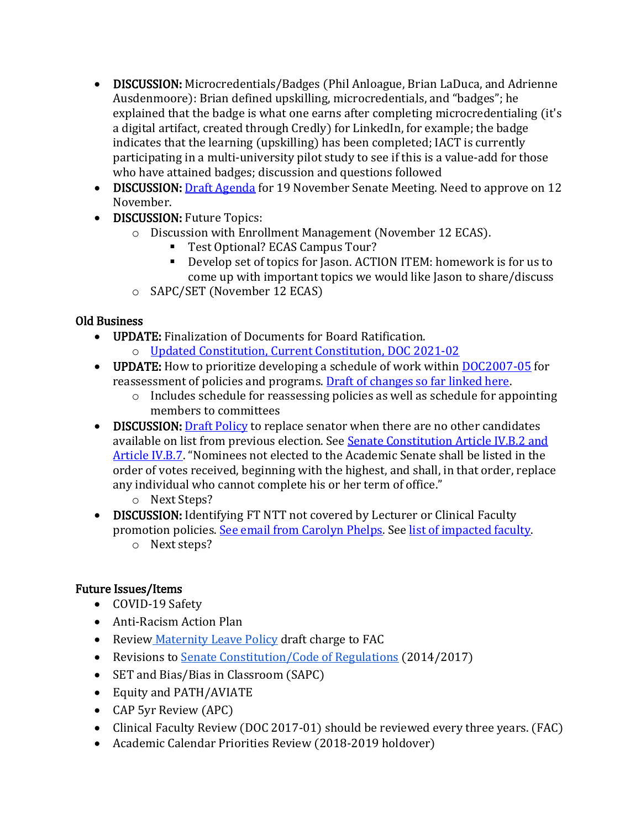- DISCUSSION: Microcredentials/Badges (Phil Anloague, Brian LaDuca, and Adrienne Ausdenmoore): Brian defined upskilling, microcredentials, and "badges"; he explained that the badge is what one earns after completing microcredentialing (it's a digital artifact, created through Credly) for LinkedIn, for example; the badge indicates that the learning (upskilling) has been completed; IACT is currently participating in a multi-university pilot study to see if this is a value-add for those who have attained badges; discussion and questions followed
- DISCUSSION[: Draft Agenda](https://docs.google.com/document/d/1EA8NXHUQew01Y981hxbzIZZomLv1AfXp/edit?usp=sharing&ouid=114374222774523335638&rtpof=true&sd=true) for 19 November Senate Meeting. Need to approve on 12 November.
- DISCUSSION: Future Topics:
	- o Discussion with Enrollment Management (November 12 ECAS).
		- Test Optional? ECAS Campus Tour?
		- Develop set of topics for Jason. ACTION ITEM: homework is for us to come up with important topics we would like Jason to share/discuss
	- o SAPC/SET (November 12 ECAS)

#### Old Business

- UPDATE: Finalization of Documents for Board Ratification.
	- o [Updated Constitution,](https://docs.google.com/document/d/1uppexRYzNvnkk4weM51WR7lJPrHs7BAk/edit?usp=sharing&ouid=114374222774523335638&rtpof=true&sd=true) [Current Constitution,](https://ecommons.udayton.edu/senate_governance/12/) [DOC 2021-02](https://ecommons.udayton.edu/senate_docs/288/)
- UPDATE: How to prioritize developing a schedule of work within [DOC2007-05](https://ecommons.udayton.edu/senate_governance/16/) for reassessment of policies and programs. [Draft of changes so far linked here.](https://docs.google.com/document/d/1MLG4EgNTOO2D21b7HPeKxP8NyFqnwy1O/edit?usp=sharing&ouid=114374222774523335638&rtpof=true&sd=true)
	- o Includes schedule for reassessing policies as well as schedule for appointing members to committees
- DISCUSSION[: Draft Policy](https://docs.google.com/document/d/1BpZ_bDP8P1-rgzbuNjU3DXPFjjlztgrl/edit?usp=sharing&ouid=114374222774523335638&rtpof=true&sd=true) to replace senator when there are no other candidates available on list from previous election. See [Senate Constitution Article IV.B.2 and](https://ecommons.udayton.edu/senate_governance/12/)  [Article IV.B.7.](https://ecommons.udayton.edu/senate_governance/12/) "Nominees not elected to the Academic Senate shall be listed in the order of votes received, beginning with the highest, and shall, in that order, replace any individual who cannot complete his or her term of office."
	- o Next Steps?
- DISCUSSION: Identifying FT NTT not covered by Lecturer or Clinical Faculty promotion policies. [See email from Carolyn Phelps.](https://drive.google.com/file/d/1k4vxzJQhZ2qbTRBwbzynkASuo1VUV6nc/view?usp=sharing) See [list of impacted faculty.](https://docs.google.com/spreadsheets/d/1tS-aMXWVVavVfH_ptWILPMVAqLHKiK1e/edit?usp=sharing&ouid=114374222774523335638&rtpof=true&sd=true) 
	- o Next steps?

### Future Issues/Items

- COVID-19 Safety
- Anti-Racism Action Plan
- Review [Maternity Leave Policy](https://ecommons.udayton.edu/cgi/viewcontent.cgi?article=1038&context=senate_docs) draft charge to FAC
- Revisions to [Senate Constitution/Code of Regulations](https://drive.google.com/file/d/1FE4HIp5nKgfgFEpzkthtUeF-u_54WgeA/view?usp=sharing) (2014/2017)
- SET and Bias/Bias in Classroom (SAPC)
- Equity and PATH/AVIATE
- CAP 5yr Review (APC)
- Clinical Faculty Review (DOC 2017-01) should be reviewed every three years. (FAC)
- Academic Calendar Priorities Review (2018-2019 holdover)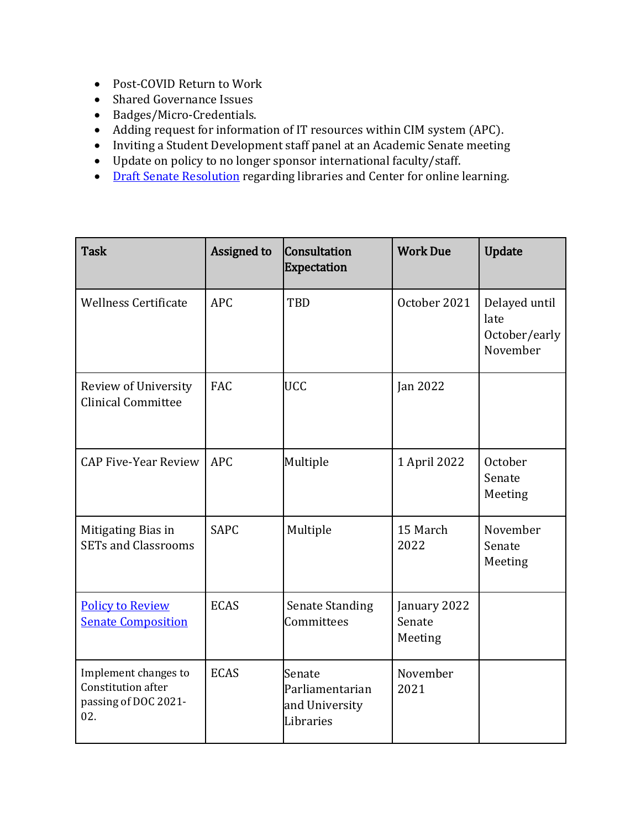- Post-COVID Return to Work
- Shared Governance Issues
- Badges/Micro-Credentials.
- Adding request for information of IT resources within CIM system (APC).
- Inviting a Student Development staff panel at an Academic Senate meeting
- Update on policy to no longer sponsor international faculty/staff.
- [Draft Senate Resolution](https://docs.google.com/document/d/1xjJPkvF1RwPx6ox_v4-haphE0rYF4g6j/edit?usp=sharing&ouid=114374222774523335638&rtpof=true&sd=true) regarding libraries and Center for online learning.

| <b>Task</b>                                                                      | Assigned to | Consultation<br><b>Expectation</b>                       | <b>Work Due</b>                   | <b>Update</b>                                      |
|----------------------------------------------------------------------------------|-------------|----------------------------------------------------------|-----------------------------------|----------------------------------------------------|
| <b>Wellness Certificate</b>                                                      | <b>APC</b>  | <b>TBD</b>                                               | October 2021                      | Delayed until<br>late<br>October/early<br>November |
| Review of University<br><b>Clinical Committee</b>                                | FAC         | <b>UCC</b>                                               | Jan 2022                          |                                                    |
| <b>CAP Five-Year Review</b>                                                      | <b>APC</b>  | Multiple                                                 | 1 April 2022                      | October<br>Senate<br>Meeting                       |
| Mitigating Bias in<br><b>SETs and Classrooms</b>                                 | <b>SAPC</b> | Multiple                                                 | 15 March<br>2022                  | November<br>Senate<br>Meeting                      |
| <b>Policy to Review</b><br><b>Senate Composition</b>                             | <b>ECAS</b> | <b>Senate Standing</b><br>Committees                     | January 2022<br>Senate<br>Meeting |                                                    |
| Implement changes to<br><b>Constitution after</b><br>passing of DOC 2021-<br>02. | <b>ECAS</b> | Senate<br>Parliamentarian<br>and University<br>Libraries | November<br>2021                  |                                                    |